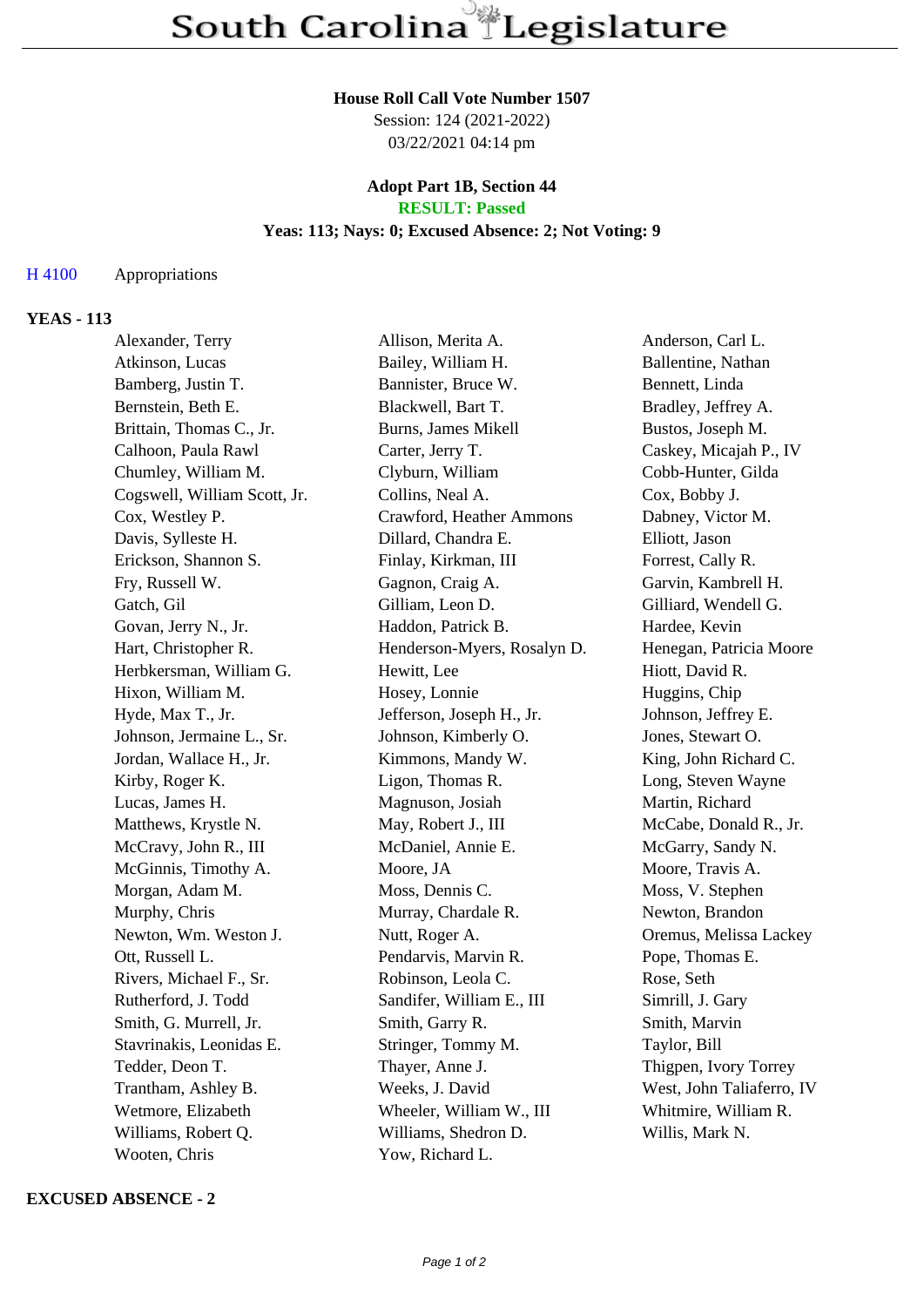#### **House Roll Call Vote Number 1507**

Session: 124 (2021-2022) 03/22/2021 04:14 pm

### **Adopt Part 1B, Section 44 RESULT: Passed**

# **Yeas: 113; Nays: 0; Excused Absence: 2; Not Voting: 9**

## H 4100 Appropriations

## **YEAS - 113**

| Alexander, Terry             | Allison, Merita A.          | Anderson, Carl L.         |
|------------------------------|-----------------------------|---------------------------|
| Atkinson, Lucas              | Bailey, William H.          | Ballentine, Nathan        |
| Bamberg, Justin T.           | Bannister, Bruce W.         | Bennett, Linda            |
| Bernstein, Beth E.           | Blackwell, Bart T.          | Bradley, Jeffrey A.       |
| Brittain, Thomas C., Jr.     | <b>Burns, James Mikell</b>  | Bustos, Joseph M.         |
| Calhoon, Paula Rawl          | Carter, Jerry T.            | Caskey, Micajah P., IV    |
| Chumley, William M.          | Clyburn, William            | Cobb-Hunter, Gilda        |
| Cogswell, William Scott, Jr. | Collins, Neal A.            | Cox, Bobby J.             |
| Cox, Westley P.              | Crawford, Heather Ammons    | Dabney, Victor M.         |
| Davis, Sylleste H.           | Dillard, Chandra E.         | Elliott, Jason            |
| Erickson, Shannon S.         | Finlay, Kirkman, III        | Forrest, Cally R.         |
| Fry, Russell W.              | Gagnon, Craig A.            | Garvin, Kambrell H.       |
| Gatch, Gil                   | Gilliam, Leon D.            | Gilliard, Wendell G.      |
| Govan, Jerry N., Jr.         | Haddon, Patrick B.          | Hardee, Kevin             |
| Hart, Christopher R.         | Henderson-Myers, Rosalyn D. | Henegan, Patricia Moore   |
| Herbkersman, William G.      | Hewitt, Lee                 | Hiott, David R.           |
| Hixon, William M.            | Hosey, Lonnie               | Huggins, Chip             |
| Hyde, Max T., Jr.            | Jefferson, Joseph H., Jr.   | Johnson, Jeffrey E.       |
| Johnson, Jermaine L., Sr.    | Johnson, Kimberly O.        | Jones, Stewart O.         |
| Jordan, Wallace H., Jr.      | Kimmons, Mandy W.           | King, John Richard C.     |
| Kirby, Roger K.              | Ligon, Thomas R.            | Long, Steven Wayne        |
| Lucas, James H.              | Magnuson, Josiah            | Martin, Richard           |
| Matthews, Krystle N.         | May, Robert J., III         | McCabe, Donald R., Jr.    |
| McCravy, John R., III        | McDaniel, Annie E.          | McGarry, Sandy N.         |
| McGinnis, Timothy A.         | Moore, JA                   | Moore, Travis A.          |
| Morgan, Adam M.              | Moss, Dennis C.             | Moss, V. Stephen          |
| Murphy, Chris                | Murray, Chardale R.         | Newton, Brandon           |
| Newton, Wm. Weston J.        | Nutt, Roger A.              | Oremus, Melissa Lackey    |
| Ott, Russell L.              | Pendarvis, Marvin R.        | Pope, Thomas E.           |
| Rivers, Michael F., Sr.      | Robinson, Leola C.          | Rose, Seth                |
| Rutherford, J. Todd          | Sandifer, William E., III   | Simrill, J. Gary          |
| Smith, G. Murrell, Jr.       | Smith, Garry R.             | Smith, Marvin             |
| Stavrinakis, Leonidas E.     | Stringer, Tommy M.          | Taylor, Bill              |
| Tedder, Deon T.              | Thayer, Anne J.             | Thigpen, Ivory Torrey     |
| Trantham, Ashley B.          | Weeks, J. David             | West, John Taliaferro, IV |
| Wetmore, Elizabeth           | Wheeler, William W., III    | Whitmire, William R.      |
| Williams, Robert Q.          | Williams, Shedron D.        | Willis, Mark N.           |
| Wooten, Chris                | Yow, Richard L.             |                           |

### **EXCUSED ABSENCE - 2**